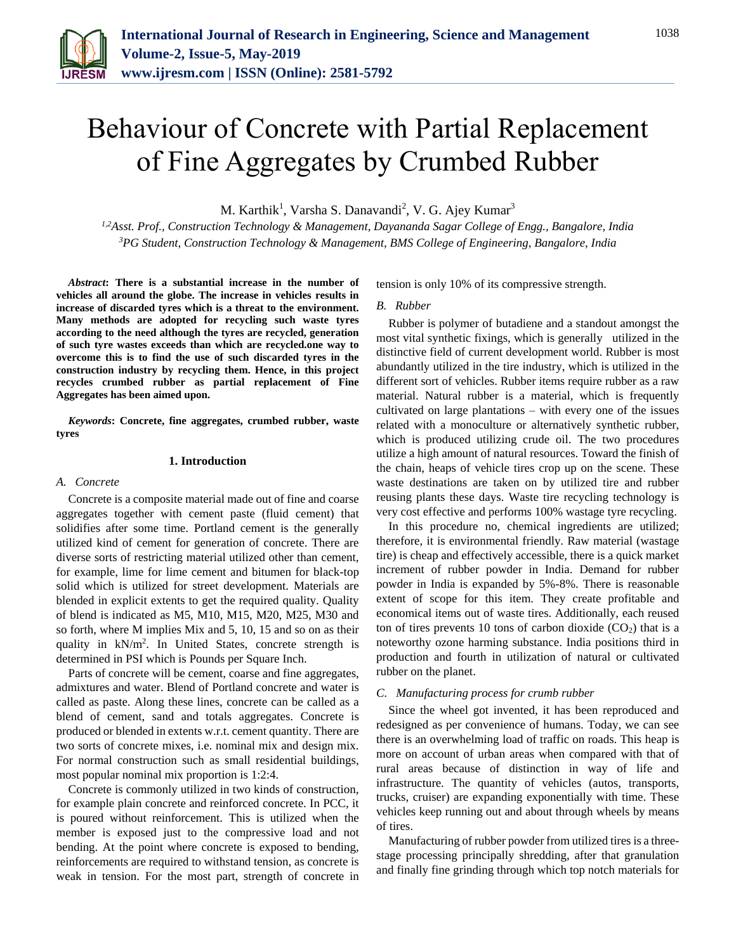

# Behaviour of Concrete with Partial Replacement of Fine Aggregates by Crumbed Rubber

M. Karthik<sup>1</sup>, Varsha S. Danavandi<sup>2</sup>, V. G. Ajey Kumar<sup>3</sup>

*1,2Asst. Prof., Construction Technology & Management, Dayananda Sagar College of Engg., Bangalore, India 3PG Student, Construction Technology & Management, BMS College of Engineering, Bangalore, India*

*Abstract***: There is a substantial increase in the number of vehicles all around the globe. The increase in vehicles results in increase of discarded tyres which is a threat to the environment. Many methods are adopted for recycling such waste tyres according to the need although the tyres are recycled, generation of such tyre wastes exceeds than which are recycled.one way to overcome this is to find the use of such discarded tyres in the construction industry by recycling them. Hence, in this project recycles crumbed rubber as partial replacement of Fine Aggregates has been aimed upon.**

*Keywords***: Concrete, fine aggregates, crumbed rubber, waste tyres**

### **1. Introduction**

## *A. Concrete*

Concrete is a composite material made out of fine and coarse aggregates together with cement paste (fluid cement) that solidifies after some time. Portland cement is the generally utilized kind of cement for generation of concrete. There are diverse sorts of restricting material utilized other than cement, for example, lime for lime cement and bitumen for black-top solid which is utilized for street development. Materials are blended in explicit extents to get the required quality. Quality of blend is indicated as M5, M10, M15, M20, M25, M30 and so forth, where M implies Mix and 5, 10, 15 and so on as their quality in kN/m<sup>2</sup>. In United States, concrete strength is determined in PSI which is Pounds per Square Inch.

Parts of concrete will be cement, coarse and fine aggregates, admixtures and water. Blend of Portland concrete and water is called as paste. Along these lines, concrete can be called as a blend of cement, sand and totals aggregates. Concrete is produced or blended in extents w.r.t. cement quantity. There are two sorts of concrete mixes, i.e. nominal mix and design mix. For normal construction such as small residential buildings, most popular nominal mix proportion is 1:2:4.

Concrete is commonly utilized in two kinds of construction, for example plain concrete and reinforced concrete. In PCC, it is poured without reinforcement. This is utilized when the member is exposed just to the compressive load and not bending. At the point where concrete is exposed to bending, reinforcements are required to withstand tension, as concrete is weak in tension. For the most part, strength of concrete in tension is only 10% of its compressive strength.

#### *B. Rubber*

Rubber is polymer of butadiene and a standout amongst the most vital synthetic fixings, which is generally utilized in the distinctive field of current development world. Rubber is most abundantly utilized in the tire industry, which is utilized in the different sort of vehicles. Rubber items require rubber as a raw material. Natural rubber is a material, which is frequently cultivated on large plantations – with every one of the issues related with a monoculture or alternatively synthetic rubber, which is produced utilizing crude oil. The two procedures utilize a high amount of natural resources. Toward the finish of the chain, heaps of vehicle tires crop up on the scene. These waste destinations are taken on by utilized tire and rubber reusing plants these days. Waste tire recycling technology is very cost effective and performs 100% wastage tyre recycling.

In this procedure no, chemical ingredients are utilized; therefore, it is environmental friendly. Raw material (wastage tire) is cheap and effectively accessible, there is a quick market increment of rubber powder in India. Demand for rubber powder in India is expanded by 5%-8%. There is reasonable extent of scope for this item. They create profitable and economical items out of waste tires. Additionally, each reused ton of tires prevents 10 tons of carbon dioxide  $(CO<sub>2</sub>)$  that is a noteworthy ozone harming substance. India positions third in production and fourth in utilization of natural or cultivated rubber on the planet.

# *C. Manufacturing process for crumb rubber*

Since the wheel got invented, it has been reproduced and redesigned as per convenience of humans. Today, we can see there is an overwhelming load of traffic on roads. This heap is more on account of urban areas when compared with that of rural areas because of distinction in way of life and infrastructure. The quantity of vehicles (autos, transports, trucks, cruiser) are expanding exponentially with time. These vehicles keep running out and about through wheels by means of tires.

Manufacturing of rubber powder from utilized tires is a threestage processing principally shredding, after that granulation and finally fine grinding through which top notch materials for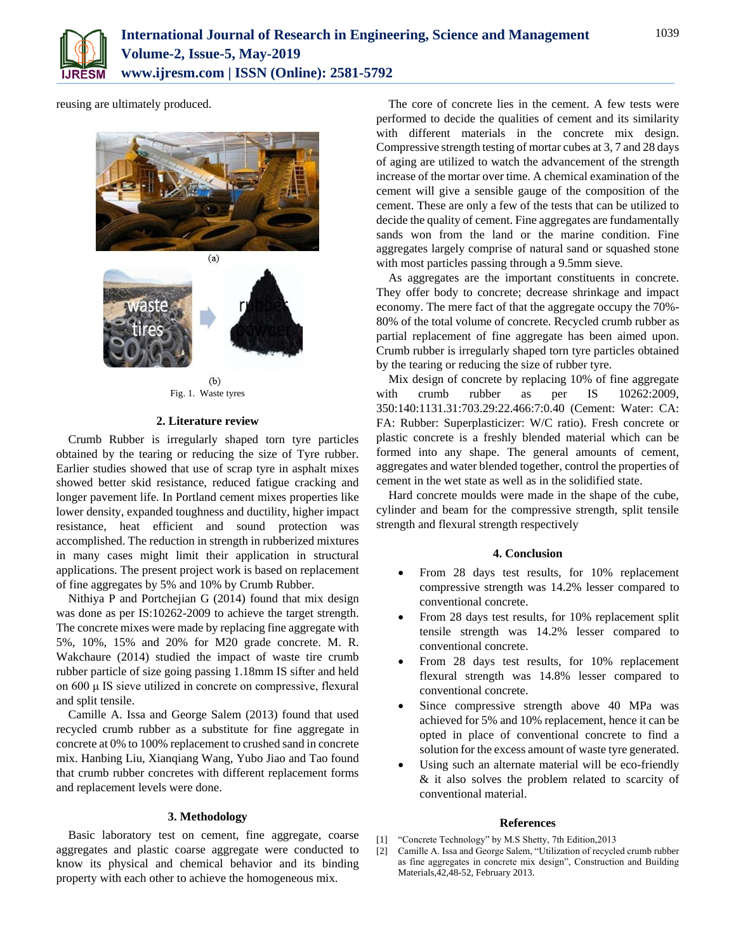

reusing are ultimately produced.



 $(b)$ Fig. 1. Waste tyres

## **2. Literature review**

Crumb Rubber is irregularly shaped torn tyre particles obtained by the tearing or reducing the size of Tyre rubber. Earlier studies showed that use of scrap tyre in asphalt mixes showed better skid resistance, reduced fatigue cracking and longer pavement life. In Portland cement mixes properties like lower density, expanded toughness and ductility, higher impact resistance, heat efficient and sound protection was accomplished. The reduction in strength in rubberized mixtures in many cases might limit their application in structural applications. The present project work is based on replacement of fine aggregates by 5% and 10% by Crumb Rubber.

Nithiya P and Portchejian G (2014) found that mix design was done as per IS:10262-2009 to achieve the target strength. The concrete mixes were made by replacing fine aggregate with 5%, 10%, 15% and 20% for M20 grade concrete. M. R. Wakchaure (2014) studied the impact of waste tire crumb rubber particle of size going passing 1.18mm IS sifter and held on 600 μ IS sieve utilized in concrete on compressive, flexural and split tensile.

Camille A. Issa and George Salem (2013) found that used recycled crumb rubber as a substitute for fine aggregate in concrete at 0% to 100% replacement to crushed sand in concrete mix. Hanbing Liu, Xianqiang Wang, Yubo Jiao and Tao found that crumb rubber concretes with different replacement forms and replacement levels were done.

## **3. Methodology**

Basic laboratory test on cement, fine aggregate, coarse aggregates and plastic coarse aggregate were conducted to know its physical and chemical behavior and its binding property with each other to achieve the homogeneous mix.

The core of concrete lies in the cement. A few tests were performed to decide the qualities of cement and its similarity with different materials in the concrete mix design. Compressive strength testing of mortar cubes at 3, 7 and 28 days of aging are utilized to watch the advancement of the strength increase of the mortar over time. A chemical examination of the cement will give a sensible gauge of the composition of the cement. These are only a few of the tests that can be utilized to decide the quality of cement. Fine aggregates are fundamentally sands won from the land or the marine condition. Fine aggregates largely comprise of natural sand or squashed stone with most particles passing through a 9.5mm sieve.

As aggregates are the important constituents in concrete. They offer body to concrete; decrease shrinkage and impact economy. The mere fact of that the aggregate occupy the 70%- 80% of the total volume of concrete. Recycled crumb rubber as partial replacement of fine aggregate has been aimed upon. Crumb rubber is irregularly shaped torn tyre particles obtained by the tearing or reducing the size of rubber tyre.

Mix design of concrete by replacing 10% of fine aggregate with crumb rubber as per IS 10262:2009, 350:140:1131.31:703.29:22.466:7:0.40 (Cement: Water: CA: FA: Rubber: Superplasticizer: W/C ratio). Fresh concrete or plastic concrete is a freshly blended material which can be formed into any shape. The general amounts of cement, aggregates and water blended together, control the properties of cement in the wet state as well as in the solidified state.

Hard concrete moulds were made in the shape of the cube, cylinder and beam for the compressive strength, split tensile strength and flexural strength respectively

#### **4. Conclusion**

- From 28 days test results, for 10% replacement compressive strength was 14.2% lesser compared to conventional concrete.
- From 28 days test results, for 10% replacement split tensile strength was 14.2% lesser compared to conventional concrete.
- From 28 days test results, for 10% replacement flexural strength was 14.8% lesser compared to conventional concrete.
- Since compressive strength above 40 MPa was achieved for 5% and 10% replacement, hence it can be opted in place of conventional concrete to find a solution for the excess amount of waste tyre generated.
- Using such an alternate material will be eco-friendly & it also solves the problem related to scarcity of conventional material.

#### **References**

- [1] "Concrete Technology" by M.S Shetty, 7th Edition,2013
- [2] Camille A. Issa and George Salem, "Utilization of recycled crumb rubber as fine aggregates in concrete mix design", Construction and Building Materials,42,48-52, February 2013.